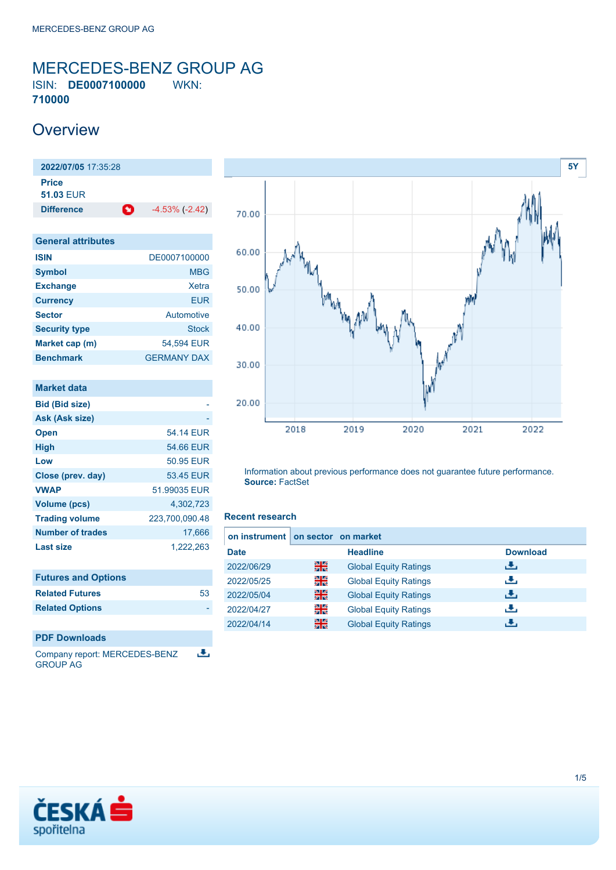### <span id="page-0-0"></span>MERCEDES-BENZ GROUP AG ISIN: **DE0007100000** WKN: **710000**

### **Overview**

**2022/07/05** 17:35:28 **Price 51.03** EUR **Difference -4.53% (-2.42)** 

| <b>General attributes</b> |                    |
|---------------------------|--------------------|
| <b>ISIN</b>               | DE0007100000       |
| <b>Symbol</b>             | <b>MBG</b>         |
| <b>Exchange</b>           | Xetra              |
| <b>Currency</b>           | EUR                |
| <b>Sector</b>             | Automotive         |
| <b>Security type</b>      | Stock              |
| Market cap (m)            | 54.594 EUR         |
| <b>Benchmark</b>          | <b>GERMANY DAX</b> |

| Market data             |                |
|-------------------------|----------------|
| <b>Bid (Bid size)</b>   |                |
| Ask (Ask size)          |                |
| <b>Open</b>             | 54 14 FUR      |
| <b>High</b>             | 54.66 EUR      |
| Low                     | 50.95 EUR      |
| Close (prev. day)       | 53.45 EUR      |
| <b>VWAP</b>             | 51.99035 EUR   |
| <b>Volume (pcs)</b>     | 4,302,723      |
| <b>Trading volume</b>   | 223,700,090.48 |
| <b>Number of trades</b> | 17.666         |
| <b>Last size</b>        | 1,222,263      |

| <b>Futures and Options</b> |    |
|----------------------------|----|
| <b>Related Futures</b>     | 53 |
| <b>Related Options</b>     |    |
|                            |    |

### **PDF Downloads**

Company report: MERCEDES-BENZ 匡 GROUP AG



Information about previous performance does not guarantee future performance. **Source:** FactSet

### **Recent research**

| on instrument on sector on market |   |                              |                 |
|-----------------------------------|---|------------------------------|-----------------|
| <b>Date</b>                       |   | <b>Headline</b>              | <b>Download</b> |
| 2022/06/29                        | 噐 | <b>Global Equity Ratings</b> | æ,              |
| 2022/05/25                        | 을 | <b>Global Equity Ratings</b> | æ,              |
| 2022/05/04                        | 噐 | <b>Global Equity Ratings</b> | رنان            |
| 2022/04/27                        | 을 | <b>Global Equity Ratings</b> | æ,              |
| 2022/04/14                        | 噐 | <b>Global Equity Ratings</b> | J.              |

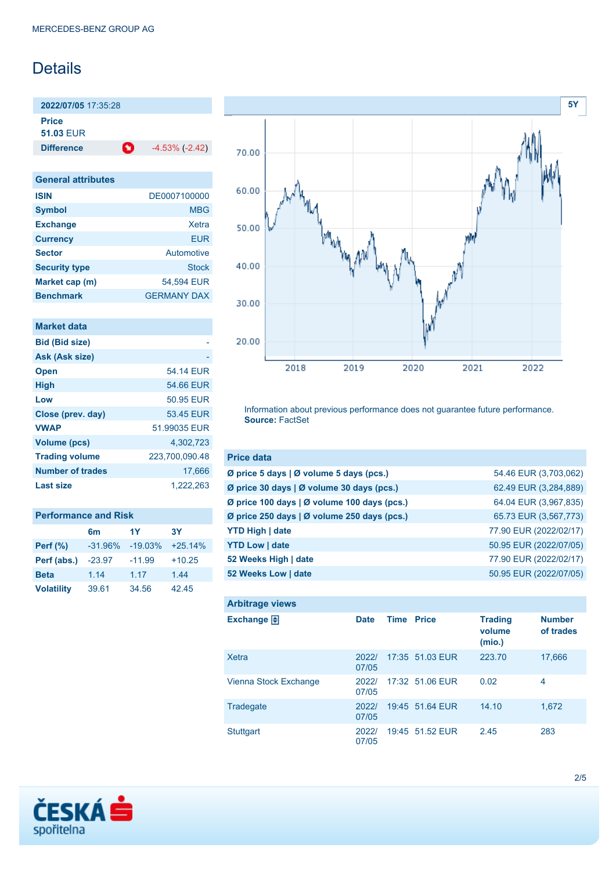# Details

**2022/07/05** 17:35:28 **Price**

**51.03** EUR

**Difference 1** -4.53% (-2.42)

| <b>General attributes</b> |                    |
|---------------------------|--------------------|
| <b>ISIN</b>               | DE0007100000       |
| <b>Symbol</b>             | MBG                |
| <b>Exchange</b>           | Xetra              |
| <b>Currency</b>           | <b>EUR</b>         |
| <b>Sector</b>             | Automotive         |
| <b>Security type</b>      | Stock              |
| Market cap (m)            | 54.594 EUR         |
| <b>Benchmark</b>          | <b>GERMANY DAX</b> |

| Market data             |                |
|-------------------------|----------------|
| <b>Bid (Bid size)</b>   |                |
| Ask (Ask size)          |                |
| <b>Open</b>             | 54.14 FUR      |
| <b>High</b>             | 54.66 EUR      |
| Low                     | 50.95 EUR      |
| Close (prev. day)       | 53.45 EUR      |
| <b>VWAP</b>             | 51.99035 EUR   |
| Volume (pcs)            | 4,302,723      |
| <b>Trading volume</b>   | 223,700,090.48 |
| <b>Number of trades</b> | 17,666         |
| Last size               | 1,222,263      |

| <b>Performance and Risk</b> |                |           |           |
|-----------------------------|----------------|-----------|-----------|
|                             | 6 <sub>m</sub> | 1Y        | <b>3Y</b> |
| <b>Perf</b> (%)             | $-31.96%$      | $-19.03%$ | $+25.14%$ |
| Perf (abs.)                 | $-23.97$       | $-11.99$  | $+10.25$  |
| <b>Beta</b>                 | 1.14           | 1.17      | 1.44      |
| <b>Volatility</b>           | 39.61          | 34.56     | 42.45     |



Information about previous performance does not guarantee future performance. **Source:** FactSet

| <b>Price data</b>                                         |                        |
|-----------------------------------------------------------|------------------------|
| $\emptyset$ price 5 days $\emptyset$ volume 5 days (pcs.) | 54.46 EUR (3,703,062)  |
| Ø price 30 days   Ø volume 30 days (pcs.)                 | 62.49 EUR (3,284,889)  |
| Ø price 100 days   Ø volume 100 days (pcs.)               | 64.04 EUR (3,967,835)  |
| Ø price 250 days   Ø volume 250 days (pcs.)               | 65.73 EUR (3,567,773)  |
| <b>YTD High   date</b>                                    | 77.90 EUR (2022/02/17) |
| <b>YTD Low   date</b>                                     | 50.95 EUR (2022/07/05) |
| 52 Weeks High   date                                      | 77.90 EUR (2022/02/17) |
| 52 Weeks Low   date                                       | 50.95 EUR (2022/07/05) |

| <b>Arbitrage views</b> |                |                   |                 |                                    |                            |
|------------------------|----------------|-------------------|-----------------|------------------------------------|----------------------------|
| Exchange <b>E</b>      | <b>Date</b>    | <b>Time Price</b> |                 | <b>Trading</b><br>volume<br>(mio.) | <b>Number</b><br>of trades |
| Xetra                  | 2022/<br>07/05 |                   | 17:35 51.03 EUR | 223.70                             | 17,666                     |
| Vienna Stock Exchange  | 2022/<br>07/05 |                   | 17:32 51.06 EUR | 0.02                               | 4                          |
| Tradegate              | 2022/<br>07/05 |                   | 19:45 51.64 EUR | 14.10                              | 1.672                      |
| <b>Stuttgart</b>       | 2022/<br>07/05 |                   | 19:45 51.52 EUR | 2.45                               | 283                        |

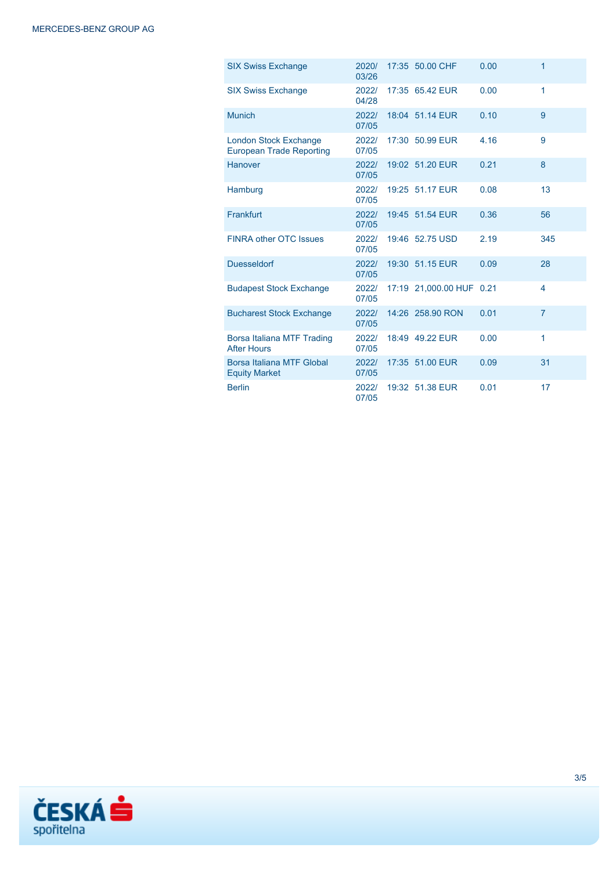| <b>SIX Swiss Exchange</b>                                | 2020/<br>03/26 | 17:35 50.00 CHF          | 0.00 | 1                       |
|----------------------------------------------------------|----------------|--------------------------|------|-------------------------|
| <b>SIX Swiss Exchange</b>                                | 2022/<br>04/28 | 17:35 65.42 EUR          | 0.00 | 1                       |
| <b>Munich</b>                                            | 2022/<br>07/05 | 18:04 51.14 EUR          | 0.10 | 9                       |
| <b>London Stock Exchange</b><br>European Trade Reporting | 2022/<br>07/05 | 17:30 50.99 EUR          | 4.16 | 9                       |
| <b>Hanover</b>                                           | 2022/<br>07/05 | 19:02 51.20 EUR          | 0.21 | 8                       |
| Hamburg                                                  | 2022/<br>07/05 | 19:25 51.17 EUR          | 0.08 | 13                      |
| Frankfurt                                                | 2022/<br>07/05 | 19:45 51.54 EUR          | 0.36 | 56                      |
| FINRA other OTC Issues                                   | 20221<br>07/05 | 19:46 52.75 USD          | 2.19 | 345                     |
| <b>Duesseldorf</b>                                       | 2022/<br>07/05 | 19:30 51.15 EUR          | 0.09 | 28                      |
| <b>Budapest Stock Exchange</b>                           | 2022/<br>07/05 | 17:19 21,000.00 HUF 0.21 |      | $\overline{\mathbf{4}}$ |
| <b>Bucharest Stock Exchange</b>                          | 2022/<br>07/05 | 14:26 258.90 RON         | 0.01 | $\overline{7}$          |
| Borsa Italiana MTF Trading<br><b>After Hours</b>         | 2022/<br>07/05 | 18:49 49.22 EUR          | 0.00 | 1                       |
| Borsa Italiana MTF Global<br><b>Equity Market</b>        | 2022/<br>07/05 | 17:35 51.00 EUR          | 0.09 | 31                      |
| <b>Berlin</b>                                            | 2022/<br>07/05 | 19:32 51.38 EUR          | 0.01 | 17                      |

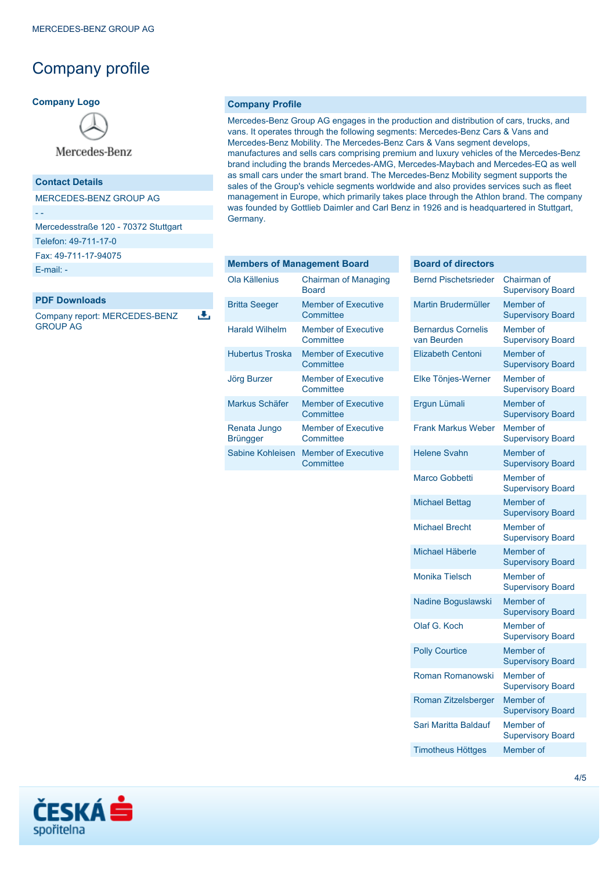## Company profile

### **Company Logo**



Mercedes-Benz

### **Contact Details**

MERCEDES-BENZ GROUP AG

- -

Mercedesstraße 120 - 70372 Stuttgart

Telefon: 49-711-17-0

Fax: 49-711-17-94075

[E-mail: -](mailto:-)

### **PDF Downloads**

Company report: MERCEDES-BENZ GROUP AG

 $\overline{\mathbf{L}}$ 

#### **Company Profile**

Mercedes-Benz Group AG engages in the production and distribution of cars, trucks, and vans. It operates through the following segments: Mercedes-Benz Cars & Vans and Mercedes-Benz Mobility. The Mercedes-Benz Cars & Vans segment develops, manufactures and sells cars comprising premium and luxury vehicles of the Mercedes-Benz brand including the brands Mercedes-AMG, Mercedes-Maybach and Mercedes-EQ as well as small cars under the smart brand. The Mercedes-Benz Mobility segment supports the sales of the Group's vehicle segments worldwide and also provides services such as fleet management in Europe, which primarily takes place through the Athlon brand. The company was founded by Gottlieb Daimler and Carl Benz in 1926 and is headquartered in Stuttgart, Germany.

| <b>Members of Management Board</b> |                                             |  |
|------------------------------------|---------------------------------------------|--|
| Ola Källenius                      | <b>Chairman of Managing</b><br><b>Board</b> |  |
| <b>Britta Seeger</b>               | <b>Member of Executive</b><br>Committee     |  |
| <b>Harald Wilhelm</b>              | Member of Executive<br>Committee            |  |
| Hubertus Troska                    | Member of Executive<br>Committee            |  |
| Jörg Burzer                        | <b>Member of Executive</b><br>Committee     |  |
| Markus Schäfer                     | <b>Member of Executive</b><br>Committee     |  |
| Renata Jungo<br>Brüngger           | <b>Member of Executive</b><br>Committee     |  |
| Sabine Kohleisen                   | <b>Member of Executive</b><br>Committee     |  |

| <b>Board of directors</b>                |                                         |
|------------------------------------------|-----------------------------------------|
| <b>Bernd Pischetsrieder</b>              | Chairman of<br><b>Supervisory Board</b> |
| Martin Brudermüller                      | Member of<br><b>Supervisory Board</b>   |
| <b>Bernardus Cornelis</b><br>van Beurden | Member of<br><b>Supervisory Board</b>   |
| <b>Elizabeth Centoni</b>                 | Member of<br><b>Supervisory Board</b>   |
| Elke Tönjes-Werner                       | Member of<br><b>Supervisory Board</b>   |
| Ergun Lümali                             | Member of<br><b>Supervisory Board</b>   |
| <b>Frank Markus Weber</b>                | Member of<br><b>Supervisory Board</b>   |
| <b>Helene Svahn</b>                      | Member of<br><b>Supervisory Board</b>   |
| <b>Marco Gobbetti</b>                    | Member of<br><b>Supervisory Board</b>   |
| <b>Michael Bettag</b>                    | Member of<br><b>Supervisory Board</b>   |
| <b>Michael Brecht</b>                    | Member of<br><b>Supervisory Board</b>   |
| Michael Häberle                          | Member of<br><b>Supervisory Board</b>   |
| <b>Monika Tielsch</b>                    | Member of<br><b>Supervisory Board</b>   |
| Nadine Boguslawski                       | Member of<br><b>Supervisory Board</b>   |
| Olaf G. Koch                             | Member of<br><b>Supervisory Board</b>   |
| <b>Polly Courtice</b>                    | Member of<br><b>Supervisory Board</b>   |
| Roman Romanowski                         | Member of<br><b>Supervisory Board</b>   |
| Roman Zitzelsberger                      | Member of<br><b>Supervisory Board</b>   |
| Sari Maritta Baldauf                     | Member of<br><b>Supervisory Board</b>   |
| <b>Timotheus Höttges</b>                 | Member of                               |